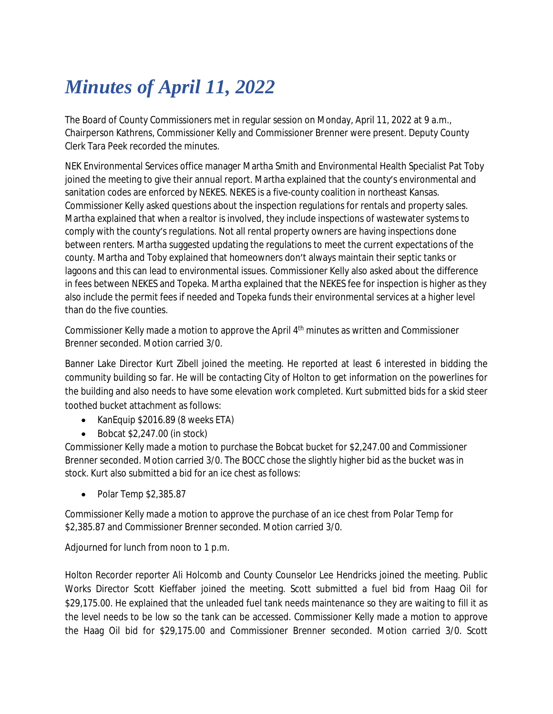## *Minutes of April 11, 2022*

The Board of County Commissioners met in regular session on Monday, April 11, 2022 at 9 a.m., Chairperson Kathrens, Commissioner Kelly and Commissioner Brenner were present. Deputy County Clerk Tara Peek recorded the minutes.

NEK Environmental Services office manager Martha Smith and Environmental Health Specialist Pat Toby joined the meeting to give their annual report. Martha explained that the county's environmental and sanitation codes are enforced by NEKES. NEKES is a five-county coalition in northeast Kansas. Commissioner Kelly asked questions about the inspection regulations for rentals and property sales. Martha explained that when a realtor is involved, they include inspections of wastewater systems to comply with the county's regulations. Not all rental property owners are having inspections done between renters. Martha suggested updating the regulations to meet the current expectations of the county. Martha and Toby explained that homeowners don't always maintain their septic tanks or lagoons and this can lead to environmental issues. Commissioner Kelly also asked about the difference in fees between NEKES and Topeka. Martha explained that the NEKES fee for inspection is higher as they also include the permit fees if needed and Topeka funds their environmental services at a higher level than do the five counties.

Commissioner Kelly made a motion to approve the April 4<sup>th</sup> minutes as written and Commissioner Brenner seconded. Motion carried 3/0.

Banner Lake Director Kurt Zibell joined the meeting. He reported at least 6 interested in bidding the community building so far. He will be contacting City of Holton to get information on the powerlines for the building and also needs to have some elevation work completed. Kurt submitted bids for a skid steer toothed bucket attachment as follows:

- KanEquip \$2016.89 (8 weeks ETA)
- $\bullet$  Bobcat \$2,247.00 (in stock)

Commissioner Kelly made a motion to purchase the Bobcat bucket for \$2,247.00 and Commissioner Brenner seconded. Motion carried 3/0. The BOCC chose the slightly higher bid as the bucket was in stock. Kurt also submitted a bid for an ice chest as follows:

 $\bullet$  Polar Temp \$2,385.87

Commissioner Kelly made a motion to approve the purchase of an ice chest from Polar Temp for \$2,385.87 and Commissioner Brenner seconded. Motion carried 3/0.

Adjourned for lunch from noon to 1 p.m.

Holton Recorder reporter Ali Holcomb and County Counselor Lee Hendricks joined the meeting. Public Works Director Scott Kieffaber joined the meeting. Scott submitted a fuel bid from Haag Oil for \$29,175.00. He explained that the unleaded fuel tank needs maintenance so they are waiting to fill it as the level needs to be low so the tank can be accessed. Commissioner Kelly made a motion to approve the Haag Oil bid for \$29,175.00 and Commissioner Brenner seconded. Motion carried 3/0. Scott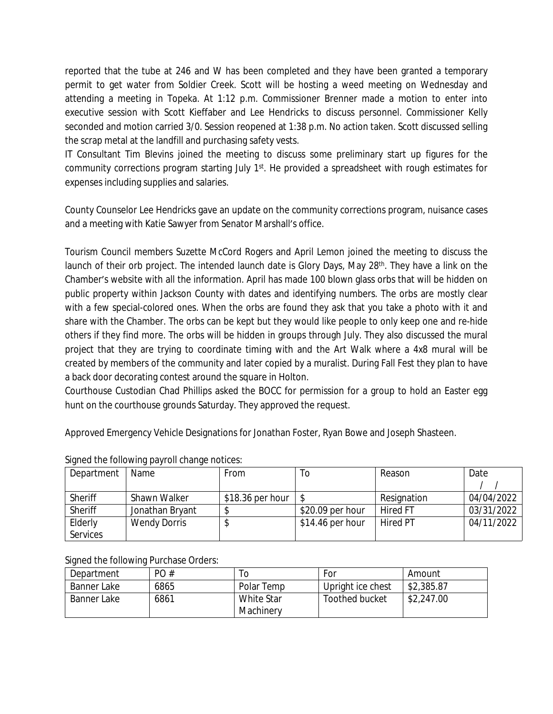reported that the tube at 246 and W has been completed and they have been granted a temporary permit to get water from Soldier Creek. Scott will be hosting a weed meeting on Wednesday and attending a meeting in Topeka. At 1:12 p.m. Commissioner Brenner made a motion to enter into executive session with Scott Kieffaber and Lee Hendricks to discuss personnel. Commissioner Kelly seconded and motion carried 3/0. Session reopened at 1:38 p.m. No action taken. Scott discussed selling the scrap metal at the landfill and purchasing safety vests.

IT Consultant Tim Blevins joined the meeting to discuss some preliminary start up figures for the community corrections program starting July 1<sup>st</sup>. He provided a spreadsheet with rough estimates for expenses including supplies and salaries.

County Counselor Lee Hendricks gave an update on the community corrections program, nuisance cases and a meeting with Katie Sawyer from Senator Marshall's office.

Tourism Council members Suzette McCord Rogers and April Lemon joined the meeting to discuss the launch of their orb project. The intended launch date is Glory Days, May 28<sup>th</sup>. They have a link on the Chamber's website with all the information. April has made 100 blown glass orbs that will be hidden on public property within Jackson County with dates and identifying numbers. The orbs are mostly clear with a few special-colored ones. When the orbs are found they ask that you take a photo with it and share with the Chamber. The orbs can be kept but they would like people to only keep one and re-hide others if they find more. The orbs will be hidden in groups through July. They also discussed the mural project that they are trying to coordinate timing with and the Art Walk where a 4x8 mural will be created by members of the community and later copied by a muralist. During Fall Fest they plan to have a back door decorating contest around the square in Holton.

Courthouse Custodian Chad Phillips asked the BOCC for permission for a group to hold an Easter egg hunt on the courthouse grounds Saturday. They approved the request.

Approved Emergency Vehicle Designations for Jonathan Foster, Ryan Bowe and Joseph Shasteen.

| Department      | Name                | From              | 10                | Reason          | Date       |
|-----------------|---------------------|-------------------|-------------------|-----------------|------------|
|                 |                     |                   |                   |                 |            |
| Sheriff         | Shawn Walker        | $$18.36$ per hour |                   | Resignation     | 04/04/2022 |
| Sheriff         | Jonathan Bryant     |                   | \$20.09 per hour  | <b>Hired FT</b> | 03/31/2022 |
| Elderly         | <b>Wendy Dorris</b> | P                 | $$14.46$ per hour | <b>Hired PT</b> | 04/11/2022 |
| <b>Services</b> |                     |                   |                   |                 |            |

## Signed the following payroll change notices:

Signed the following Purchase Orders:

| Department  | PO#  | O          | For               | Amount     |
|-------------|------|------------|-------------------|------------|
| Banner Lake | 6865 | Polar Temp | Upright ice chest | \$2,385.87 |
| Banner Lake | 6861 | White Star | Toothed bucket    | \$2,247.00 |
|             |      | Machinery  |                   |            |